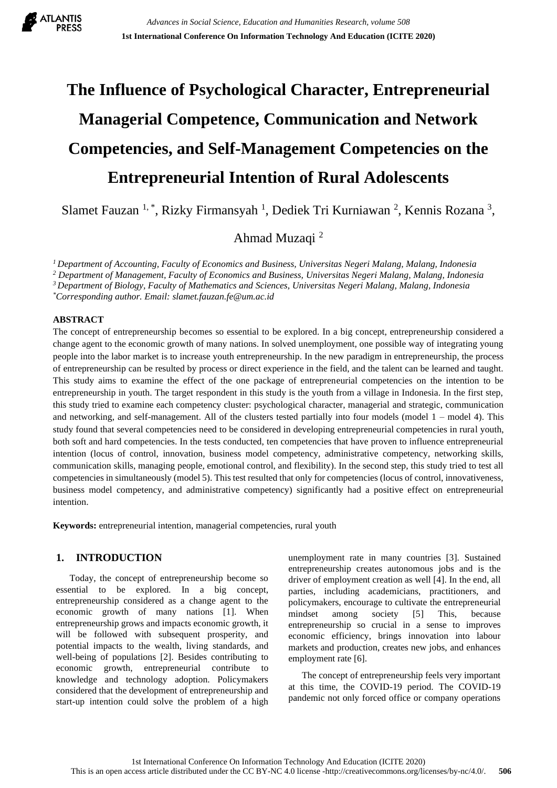

# **The Influence of Psychological Character, Entrepreneurial Managerial Competence, Communication and Network Competencies, and Self-Management Competencies on the Entrepreneurial Intention of Rural Adolescents**

Slamet Fauzan<sup>1,\*</sup>, Rizky Firmansyah<sup>1</sup>, Dediek Tri Kurniawan<sup>2</sup>, Kennis Rozana<sup>3</sup>,

Ahmad Muzaqi <sup>2</sup>

*<sup>1</sup>Department of Accounting, Faculty of Economics and Business, Universitas Negeri Malang, Malang, Indonesia*

*<sup>2</sup> Department of Management, Faculty of Economics and Business, Universitas Negeri Malang, Malang, Indonesia*

*<sup>3</sup>Department of Biology, Faculty of Mathematics and Sciences, Universitas Negeri Malang, Malang, Indonesia*

*\*Corresponding author. Email: slamet.fauzan.fe@um.ac.id*

#### **ABSTRACT**

The concept of entrepreneurship becomes so essential to be explored. In a big concept, entrepreneurship considered a change agent to the economic growth of many nations. In solved unemployment, one possible way of integrating young people into the labor market is to increase youth entrepreneurship. In the new paradigm in entrepreneurship, the process of entrepreneurship can be resulted by process or direct experience in the field, and the talent can be learned and taught. This study aims to examine the effect of the one package of entrepreneurial competencies on the intention to be entrepreneurship in youth. The target respondent in this study is the youth from a village in Indonesia. In the first step, this study tried to examine each competency cluster: psychological character, managerial and strategic, communication and networking, and self-management. All of the clusters tested partially into four models (model  $1 -$  model  $4$ ). This study found that several competencies need to be considered in developing entrepreneurial competencies in rural youth, both soft and hard competencies. In the tests conducted, ten competencies that have proven to influence entrepreneurial intention (locus of control, innovation, business model competency, administrative competency, networking skills, communication skills, managing people, emotional control, and flexibility). In the second step, this study tried to test all competencies in simultaneously (model 5). This test resulted that only for competencies (locus of control, innovativeness, business model competency, and administrative competency) significantly had a positive effect on entrepreneurial intention.

**Keywords:** entrepreneurial intention, managerial competencies, rural youth

# **1. INTRODUCTION**

Today, the concept of entrepreneurship become so essential to be explored. In a big concept, entrepreneurship considered as a change agent to the economic growth of many nations [1]. When entrepreneurship grows and impacts economic growth, it will be followed with subsequent prosperity, and potential impacts to the wealth, living standards, and well-being of populations [2]. Besides contributing to economic growth, entrepreneurial contribute to knowledge and technology adoption. Policymakers considered that the development of entrepreneurship and start-up intention could solve the problem of a high

unemployment rate in many countries [3]. Sustained entrepreneurship creates autonomous jobs and is the driver of employment creation as well [4]. In the end, all parties, including academicians, practitioners, and policymakers, encourage to cultivate the entrepreneurial mindset among society [5] This, because entrepreneurship so crucial in a sense to improves economic efficiency, brings innovation into labour markets and production, creates new jobs, and enhances employment rate [6].

The concept of entrepreneurship feels very important at this time, the COVID-19 period. The COVID-19 pandemic not only forced office or company operations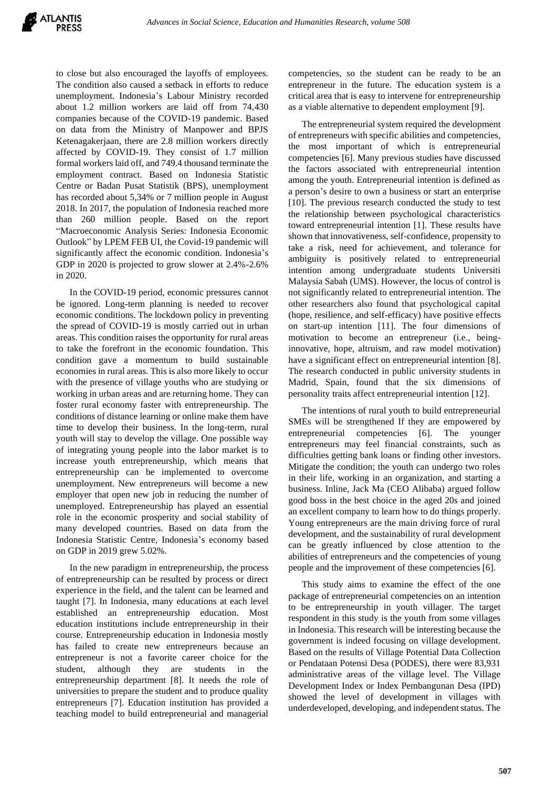to close but also encouraged the layoffs of employees. The condition also caused a setback in efforts to reduce unemployment. Indonesia's Labour Ministry recorded about 1.2 million workers are laid off from 74,430 companies because of the COVID-19 pandemic. Based on data from the Ministry of Manpower and BPJS Ketenagakerjaan, there are 2.8 million workers directly affected by COVID-19. They consist of 1.7 million formal workers laid off, and 749.4 thousand terminate the employment contract. Based on Indonesia Statistic Centre or Badan Pusat Statistik (BPS), unemployment has recorded about 5,34% or 7 million people in August 2018. In 2017, the population of Indonesia reached more than 260 million people. Based on the report "Macroeconomic Analysis Series: Indonesia Economic Outlook" by LPEM FEB UI, the Covid-19 pandemic will significantly affect the economic condition. Indonesia's GDP in 2020 is projected to grow slower at 2.4%-2.6% in 2020.

In the COVID-19 period, economic pressures cannot be ignored. Long-term planning is needed to recover economic conditions. The lockdown policy in preventing the spread of COVID-19 is mostly carried out in urban areas. This condition raises the opportunity for rural areas to take the forefront in the economic foundation. This condition gave a momentum to build sustainable economies in rural areas. This is also more likely to occur with the presence of village youths who are studying or working in urban areas and are returning home. They can foster rural economy faster with entrepreneurship. The conditions of distance learning or online make them have time to develop their business. In the long-term, rural youth will stay to develop the village. One possible way of integrating young people into the labor market is to increase youth entrepreneurship, which means that entrepreneurship can be implemented to overcome unemployment. New entrepreneurs will become a new employer that open new job in reducing the number of unemployed. Entrepreneurship has played an essential role in the economic prosperity and social stability of many developed countries. Based on data from the Indonesia Statistic Centre, Indonesia's economy based on GDP in 2019 grew 5.02%.

In the new paradigm in entrepreneurship, the process of entrepreneurship can be resulted by process or direct experience in the field, and the talent can be learned and taught [7]. In Indonesia, many educations at each level established an entrepreneurship education. Most education institutions include entrepreneurship in their course. Entrepreneurship education in Indonesia mostly has failed to create new entrepreneurs because an entrepreneur is not a favorite career choice for the student, although they are students in entrepreneurship department [8]. It needs the role of universities to prepare the student and to produce quality entrepreneurs [7]. Education institution has provided a teaching model to build entrepreneurial and managerial competencies, so the student can be ready to be an entrepreneur in the future. The education system is a critical area that is easy to intervene for entrepreneurship as a viable alternative to dependent employment [9].

The entrepreneurial system required the development of entrepreneurs with specific abilities and competencies, the most important of which is entrepreneurial competencies [6]. Many previous studies have discussed the factors associated with entrepreneurial intention among the youth. Entrepreneurial intention is defined as a person's desire to own a business or start an enterprise [10]. The previous research conducted the study to test the relationship between psychological characteristics toward entrepreneurial intention [1]. These results have shown that innovativeness, self-confidence, propensity to take a risk, need for achievement, and tolerance for ambiguity is positively related to entrepreneurial intention among undergraduate students Universiti Malaysia Sabah (UMS). However, the locus of control is not significantly related to entrepreneurial intention. The other researchers also found that psychological capital (hope, resilience, and self-efficacy) have positive effects on start-up intention [11]. The four dimensions of motivation to become an entrepreneur (i.e., beinginnovative, hope, altruism, and raw model motivation) have a significant effect on entrepreneurial intention [8]. The research conducted in public university students in Madrid, Spain, found that the six dimensions of personality traits affect entrepreneurial intention [12].

The intentions of rural youth to build entrepreneurial SMEs will be strengthened If they are empowered by entrepreneurial competencies [6]. The younger entrepreneurs may feel financial constraints, such as difficulties getting bank loans or finding other investors. Mitigate the condition; the youth can undergo two roles in their life, working in an organization, and starting a business. Inline, Jack Ma (CEO Alibaba) argued follow good boss in the best choice in the aged 20s and joined an excellent company to learn how to do things properly. Young entrepreneurs are the main driving force of rural development, and the sustainability of rural development can be greatly influenced by close attention to the abilities of entrepreneurs and the competencies of young people and the improvement of these competencies [6].

This study aims to examine the effect of the one package of entrepreneurial competencies on an intention to be entrepreneurship in youth villager. The target respondent in this study is the youth from some villages in Indonesia. This research will be interesting because the government is indeed focusing on village development. Based on the results of Village Potential Data Collection or Pendataan Potensi Desa (PODES), there were 83,931 administrative areas of the village level. The Village Development Index or Index Pembangunan Desa (IPD) showed the level of development in villages with underdeveloped, developing, and independent status. The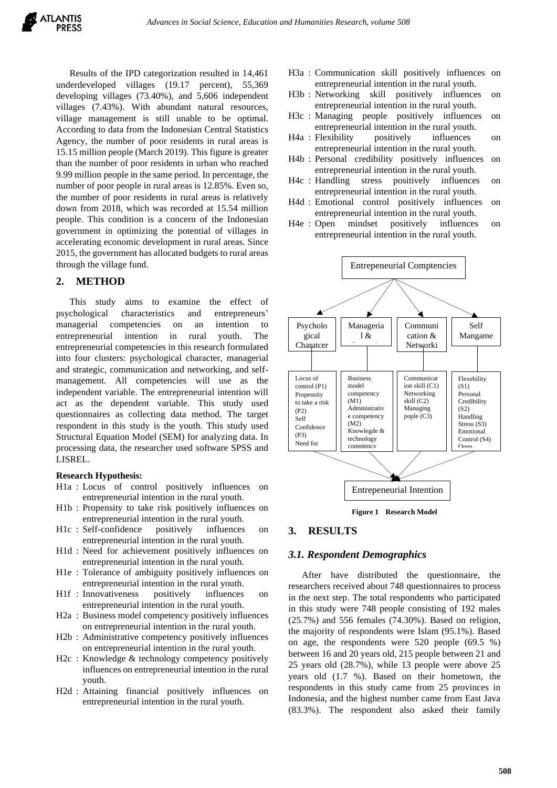Results of the IPD categorization resulted in 14,461 underdeveloped villages (19.17 percent), 55,369 developing villages (73.40%), and 5,606 independent villages (7.43%). With abundant natural resources, village management is still unable to be optimal. According to data from the Indonesian Central Statistics Agency, the number of poor residents in rural areas is 15.15 million people (March 2019). This figure is greater than the number of poor residents in urban who reached 9.99 million people in the same period. In percentage, the number of poor people in rural areas is 12.85%. Even so, the number of poor residents in rural areas is relatively down from 2018, which was recorded at 15.54 million people. This condition is a concern of the Indonesian government in optimizing the potential of villages in accelerating economic development in rural areas. Since 2015, the government has allocated budgets to rural areas through the village fund.

## **2. METHOD**

This study aims to examine the effect of psychological characteristics and entrepreneurs' managerial competencies on an intention to entrepreneurial intention in rural youth. The entrepreneurial competencies in this research formulated into four clusters: psychological character, managerial and strategic, communication and networking, and selfmanagement. All competencies will use as the independent variable. The entrepreneurial intention will act as the dependent variable. This study used questionnaires as collecting data method. The target respondent in this study is the youth. This study used Structural Equation Model (SEM) for analyzing data. In processing data, the researcher used software SPSS and LISREL.

#### **Research Hypothesis:**

- H1a : Locus of control positively influences on entrepreneurial intention in the rural youth.
- H1b : Propensity to take risk positively influences on entrepreneurial intention in the rural youth.
- H1c : Self-confidence positively influences on entrepreneurial intention in the rural youth.
- H1d : Need for achievement positively influences on entrepreneurial intention in the rural youth.
- H1e : Tolerance of ambiguity positively influences on entrepreneurial intention in the rural youth.
- H1f : Innovativeness positively influences on entrepreneurial intention in the rural youth.
- H2a : Business model competency positively influences on entrepreneurial intention in the rural youth.
- H2b : Administrative competency positively influences on entrepreneurial intention in the rural youth.
- H2c : Knowledge & technology competency positively influences on entrepreneurial intention in the rural youth.
- H2d : Attaining financial positively influences on entrepreneurial intention in the rural youth.
- H3a : Communication skill positively influences on entrepreneurial intention in the rural youth.
- H3b : Networking skill positively influences on entrepreneurial intention in the rural youth.
- H3c : Managing people positively influences on entrepreneurial intention in the rural youth.
- H4a : Flexibility positively influences on entrepreneurial intention in the rural youth.
- H4b : Personal credibility positively influences on entrepreneurial intention in the rural youth.
- H4c : Handling stress positively influences on entrepreneurial intention in the rural youth.
- H4d : Emotional control positively influences on entrepreneurial intention in the rural youth.
- H4e : Open mindset positively influences on entrepreneurial intention in the rural youth.



**Figure 1 Research Model**

# **3. RESULTS**

#### *3.1. Respondent Demographics*

After have distributed the questionnaire, the researchers received about 748 questionnaires to process in the next step. The total respondents who participated in this study were 748 people consisting of 192 males (25.7%) and 556 females (74.30%). Based on religion, the majority of respondents were Islam (95.1%). Based on age, the respondents were 520 people (69.5 %) between 16 and 20 years old, 215 people between 21 and 25 years old (28.7%), while 13 people were above 25 years old (1.7 %). Based on their hometown, the respondents in this study came from 25 provinces in Indonesia, and the highest number came from East Java (83.3%). The respondent also asked their family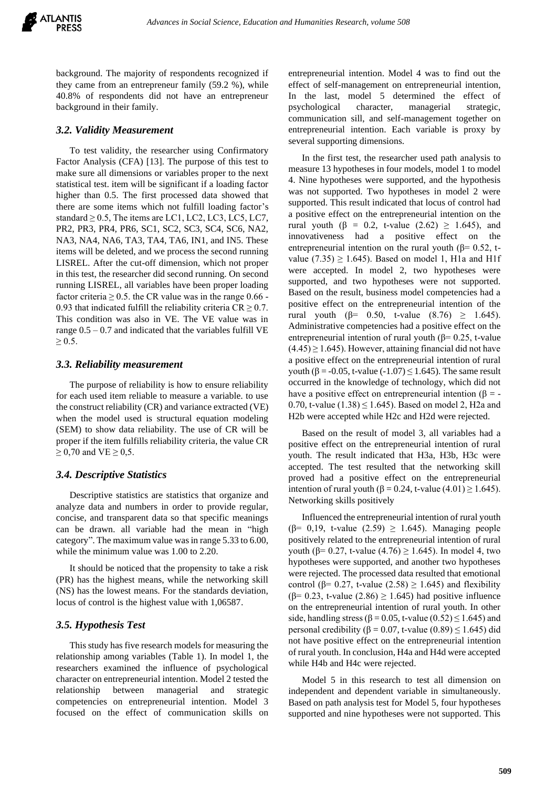background. The majority of respondents recognized if they came from an entrepreneur family (59.2 %), while 40.8% of respondents did not have an entrepreneur background in their family.

#### *3.2. Validity Measurement*

To test validity, the researcher using Confirmatory Factor Analysis (CFA) [13]. The purpose of this test to make sure all dimensions or variables proper to the next statistical test. item will be significant if a loading factor higher than 0.5. The first processed data showed that there are some items which not fulfill loading factor's standard  $\geq 0.5$ , The items are LC1, LC2, LC3, LC5, LC7, PR2, PR3, PR4, PR6, SC1, SC2, SC3, SC4, SC6, NA2, NA3, NA4, NA6, TA3, TA4, TA6, IN1, and IN5. These items will be deleted, and we process the second running LISREL. After the cut-off dimension, which not proper in this test, the researcher did second running. On second running LISREL, all variables have been proper loading factor criteria  $\geq 0.5$ . the CR value was in the range 0.66 -0.93 that indicated fulfill the reliability criteria  $CR \ge 0.7$ . This condition was also in VE. The VE value was in range  $0.5 - 0.7$  and indicated that the variables fulfill VE  $\geq 0.5$ .

#### *3.3. Reliability measurement*

The purpose of reliability is how to ensure reliability for each used item reliable to measure a variable. to use the construct reliability (CR) and variance extracted (VE) when the model used is structural equation modeling (SEM) to show data reliability. The use of CR will be proper if the item fulfills reliability criteria, the value CR  $\geq$  0,70 and VE  $\geq$  0,5.

#### *3.4. Descriptive Statistics*

Descriptive statistics are statistics that organize and analyze data and numbers in order to provide regular, concise, and transparent data so that specific meanings can be drawn. all variable had the mean in "high category". The maximum value was in range 5.33 to 6.00, while the minimum value was 1.00 to 2.20.

It should be noticed that the propensity to take a risk (PR) has the highest means, while the networking skill (NS) has the lowest means. For the standards deviation, locus of control is the highest value with 1,06587.

#### *3.5. Hypothesis Test*

This study has five research models for measuring the relationship among variables (Table 1). In model 1, the researchers examined the influence of psychological character on entrepreneurial intention. Model 2 tested the relationship between managerial and strategic competencies on entrepreneurial intention. Model 3 focused on the effect of communication skills on

entrepreneurial intention. Model 4 was to find out the effect of self-management on entrepreneurial intention, In the last, model 5 determined the effect of psychological character, managerial strategic, communication sill, and self-management together on entrepreneurial intention. Each variable is proxy by several supporting dimensions.

In the first test, the researcher used path analysis to measure 13 hypotheses in four models, model 1 to model 4. Nine hypotheses were supported, and the hypothesis was not supported. Two hypotheses in model 2 were supported. This result indicated that locus of control had a positive effect on the entrepreneurial intention on the rural youth ( $\beta = 0.2$ , t-value (2.62)  $\geq$  1.645), and innovativeness had a positive effect on the entrepreneurial intention on the rural youth ( $\beta$ = 0.52, tvalue (7.35)  $\geq$  1.645). Based on model 1, H1a and H1f were accepted. In model 2, two hypotheses were supported, and two hypotheses were not supported. Based on the result, business model competencies had a positive effect on the entrepreneurial intention of the rural youth (β= 0.50, t-value (8.76) > 1.645). Administrative competencies had a positive effect on the entrepreneurial intention of rural youth ( $\beta$ = 0.25, t-value  $(4.45) \ge 1.645$ . However, attaining financial did not have a positive effect on the entrepreneurial intention of rural youth ( $\beta$  = -0.05, t-value (-1.07)  $\leq$  1.645). The same result occurred in the knowledge of technology, which did not have a positive effect on entrepreneurial intention ( $\beta$  = -0.70, t-value  $(1.38) \le 1.645$ ). Based on model 2, H2a and H2b were accepted while H2c and H2d were rejected.

Based on the result of model 3, all variables had a positive effect on the entrepreneurial intention of rural youth. The result indicated that H3a, H3b, H3c were accepted. The test resulted that the networking skill proved had a positive effect on the entrepreneurial intention of rural youth ( $\beta$  = 0.24, t-value (4.01)  $\geq$  1.645). Networking skills positively

Influenced the entrepreneurial intention of rural youth (β= 0,19, t-value (2.59) ≥ 1.645). Managing people positively related to the entrepreneurial intention of rural youth (β= 0.27, t-value (4.76)  $\geq$  1.645). In model 4, two hypotheses were supported, and another two hypotheses were rejected. The processed data resulted that emotional control ( $\beta$ = 0.27, t-value (2.58)  $\geq$  1.645) and flexibility ( $\beta$ = 0.23, t-value (2.86)  $\geq$  1.645) had positive influence on the entrepreneurial intention of rural youth. In other side, handling stress ( $\beta$  = 0.05, t-value (0.52)  $\leq$  1.645) and personal credibility ( $β = 0.07$ , t-value (0.89)  $≤ 1.645$ ) did not have positive effect on the entrepreneurial intention of rural youth. In conclusion, H4a and H4d were accepted while H4b and H4c were rejected.

Model 5 in this research to test all dimension on independent and dependent variable in simultaneously. Based on path analysis test for Model 5, four hypotheses supported and nine hypotheses were not supported. This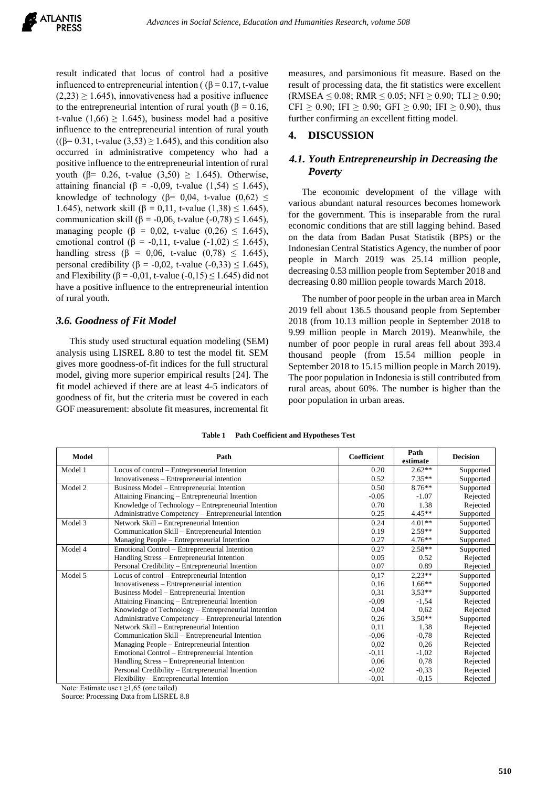result indicated that locus of control had a positive influenced to entrepreneurial intention ( $(\beta = 0.17, t$ -value  $(2,23) \ge 1.645$ ), innovativeness had a positive influence to the entrepreneurial intention of rural youth (β = 0.16, t-value (1,66)  $\geq$  1.645), business model had a positive influence to the entrepreneurial intention of rural youth  $((\beta=0.31, t-value (3.53) \ge 1.645)$ , and this condition also occurred in administrative competency who had a positive influence to the entrepreneurial intention of rural youth (β= 0.26, t-value  $(3,50) \ge 1.645$ ). Otherwise, attaining financial (β = -0,09, t-value (1,54)  $\leq$  1.645), knowledge of technology ( $\beta$ = 0,04, t-value (0,62)  $\leq$ 1.645), network skill (β = 0,11, t-value (1,38)  $\leq$  1.645), communication skill (β = -0,06, t-value (-0,78)  $\leq$  1.645), managing people ( $\beta = 0.02$ , t-value (0.26)  $\leq 1.645$ ), emotional control ( $\beta$  = -0,11, t-value (-1,02)  $\leq$  1.645), handling stress (β = 0,06, t-value (0,78)  $\leq$  1.645), personal credibility (β = -0,02, t-value (-0,33)  $\leq$  1.645), and Flexibility ( $\beta$  = -0,01, t-value (-0,15) < 1,645) did not have a positive influence to the entrepreneurial intention of rural youth.

## *3.6. Goodness of Fit Model*

This study used structural equation modeling (SEM) analysis using LISREL 8.80 to test the model fit. SEM gives more goodness-of-fit indices for the full structural model, giving more superior empirical results [24]. The fit model achieved if there are at least 4-5 indicators of goodness of fit, but the criteria must be covered in each GOF measurement: absolute fit measures, incremental fit measures, and parsimonious fit measure. Based on the result of processing data, the fit statistics were excellent  $(RMSEA \le 0.08; RMR \le 0.05; NFI \ge 0.90; TLI \ge 0.90;$ CFI  $\geq$  0.90; IFI  $\geq$  0.90; GFI  $\geq$  0.90; IFI  $\geq$  0.90), thus further confirming an excellent fitting model.

## **4. DISCUSSION**

# *4.1. Youth Entrepreneurship in Decreasing the Poverty*

The economic development of the village with various abundant natural resources becomes homework for the government. This is inseparable from the rural economic conditions that are still lagging behind. Based on the data from Badan Pusat Statistik (BPS) or the Indonesian Central Statistics Agency, the number of poor people in March 2019 was 25.14 million people, decreasing 0.53 million people from September 2018 and decreasing 0.80 million people towards March 2018.

The number of poor people in the urban area in March 2019 fell about 136.5 thousand people from September 2018 (from 10.13 million people in September 2018 to 9.99 million people in March 2019). Meanwhile, the number of poor people in rural areas fell about 393.4 thousand people (from 15.54 million people in September 2018 to 15.15 million people in March 2019). The poor population in Indonesia is still contributed from rural areas, about 60%. The number is higher than the poor population in urban areas.

| Model   | Path                                                  | <b>Coefficient</b> | Path<br>estimate | <b>Decision</b> |
|---------|-------------------------------------------------------|--------------------|------------------|-----------------|
| Model 1 | Locus of control – Entrepreneurial Intention          | 0.20               | $2.62**$         | Supported       |
|         | Innovativeness – Entrepreneurial intention            | 0.52               | $7.35**$         | Supported       |
| Model 2 | Business Model – Entrepreneurial Intention            | 0.50               | $8.76***$        | Supported       |
|         | Attaining Financing – Entrepreneurial Intention       | $-0.05$            | $-1.07$          | Rejected        |
|         | Knowledge of Technology – Entrepreneurial Intention   | 0.70               | 1.38             | Rejected        |
|         | Administrative Competency – Entrepreneurial Intention | 0.25               | $4.45**$         | Supported       |
| Model 3 | Network Skill - Entrepreneurial Intention             | 0.24               | $4.01**$         | Supported       |
|         | Communication Skill – Entrepreneurial Intention       | 0.19               | $2.59**$         | Supported       |
|         | Managing People – Entrepreneurial Intention           | 0.27               | $4.76**$         | Supported       |
| Model 4 | Emotional Control – Entrepreneurial Intention         | 0.27               | $2.58**$         | Supported       |
|         | Handling Stress – Entrepreneurial Intention           | 0.05               | 0.52             | Rejected        |
|         | Personal Credibility – Entrepreneurial Intention      | 0.07               | 0.89             | Rejected        |
| Model 5 | Locus of control – Entrepreneurial Intention          | 0,17               | $2,23**$         | Supported       |
|         | Innovativeness – Entrepreneurial intention            | 0.16               | $1.66***$        | Supported       |
|         | Business Model – Entrepreneurial Intention            | 0.31               | $3.53**$         | Supported       |
|         | Attaining Financing – Entrepreneurial Intention       | $-0,09$            | $-1,54$          | Rejected        |
|         | Knowledge of Technology – Entrepreneurial Intention   | 0.04               | 0.62             | Rejected        |
|         | Administrative Competency – Entrepreneurial Intention | 0.26               | $3.50**$         | Supported       |
|         | Network Skill – Entrepreneurial Intention             | 0,11               | 1,38             | Rejected        |
|         | Communication Skill – Entrepreneurial Intention       | $-0,06$            | $-0.78$          | Rejected        |
|         | Managing People – Entrepreneurial Intention           | 0.02               | 0,26             | Rejected        |
|         | Emotional Control – Entrepreneurial Intention         | $-0,11$            | $-1,02$          | Rejected        |
|         | Handling Stress - Entrepreneurial Intention           | 0,06               | 0.78             | Rejected        |
|         | Personal Credibility – Entrepreneurial Intention      | $-0,02$            | $-0,33$          | Rejected        |
|         | Flexibility – Entrepreneurial Intention               | $-0.01$            | $-0.15$          | Rejected        |

**Table 1 Path Coefficient and Hypotheses Test**

Note: Estimate use  $t \ge 1,65$  (one tailed)

Source: Processing Data from LISREL 8.8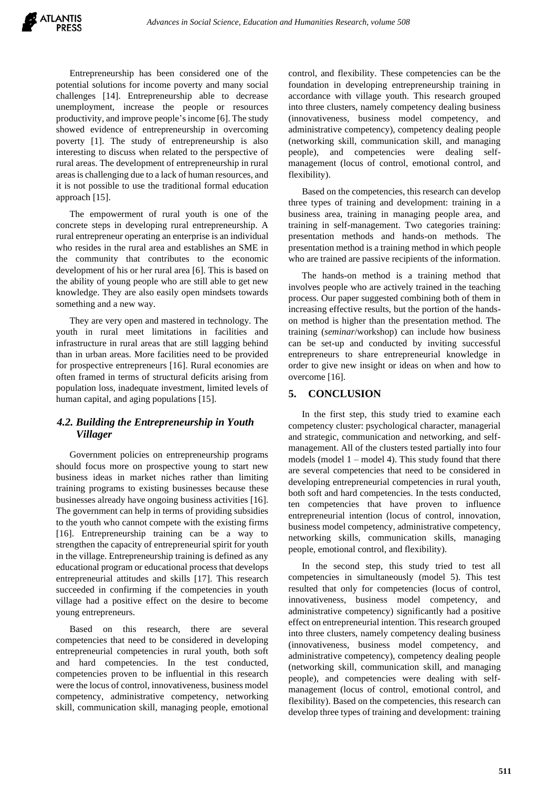Entrepreneurship has been considered one of the potential solutions for income poverty and many social challenges [14]. Entrepreneurship able to decrease unemployment, increase the people or resources productivity, and improve people's income [6]. The study showed evidence of entrepreneurship in overcoming poverty [1]. The study of entrepreneurship is also interesting to discuss when related to the perspective of rural areas. The development of entrepreneurship in rural areas is challenging due to a lack of human resources, and it is not possible to use the traditional formal education approach [15].

The empowerment of rural youth is one of the concrete steps in developing rural entrepreneurship. A rural entrepreneur operating an enterprise is an individual who resides in the rural area and establishes an SME in the community that contributes to the economic development of his or her rural area [6]. This is based on the ability of young people who are still able to get new knowledge. They are also easily open mindsets towards something and a new way.

They are very open and mastered in technology. The youth in rural meet limitations in facilities and infrastructure in rural areas that are still lagging behind than in urban areas. More facilities need to be provided for prospective entrepreneurs [16]. Rural economies are often framed in terms of structural deficits arising from population loss, inadequate investment, limited levels of human capital, and aging populations [15].

# *4.2. Building the Entrepreneurship in Youth Villager*

Government policies on entrepreneurship programs should focus more on prospective young to start new business ideas in market niches rather than limiting training programs to existing businesses because these businesses already have ongoing business activities [16]. The government can help in terms of providing subsidies to the youth who cannot compete with the existing firms [16]. Entrepreneurship training can be a way to strengthen the capacity of entrepreneurial spirit for youth in the village. Entrepreneurship training is defined as any educational program or educational process that develops entrepreneurial attitudes and skills [17]. This research succeeded in confirming if the competencies in youth village had a positive effect on the desire to become young entrepreneurs.

Based on this research, there are several competencies that need to be considered in developing entrepreneurial competencies in rural youth, both soft and hard competencies. In the test conducted, competencies proven to be influential in this research were the locus of control, innovativeness, business model competency, administrative competency, networking skill, communication skill, managing people, emotional control, and flexibility. These competencies can be the foundation in developing entrepreneurship training in accordance with village youth. This research grouped into three clusters, namely competency dealing business (innovativeness, business model competency, and administrative competency), competency dealing people (networking skill, communication skill, and managing people), and competencies were dealing selfmanagement (locus of control, emotional control, and flexibility).

Based on the competencies, this research can develop three types of training and development: training in a business area, training in managing people area, and training in self-management. Two categories training: presentation methods and hands-on methods. The presentation method is a training method in which people who are trained are passive recipients of the information.

The hands-on method is a training method that involves people who are actively trained in the teaching process. Our paper suggested combining both of them in increasing effective results, but the portion of the handson method is higher than the presentation method. The training (*seminar*/workshop) can include how business can be set-up and conducted by inviting successful entrepreneurs to share entrepreneurial knowledge in order to give new insight or ideas on when and how to overcome [16].

# **5. CONCLUSION**

In the first step, this study tried to examine each competency cluster: psychological character, managerial and strategic, communication and networking, and selfmanagement. All of the clusters tested partially into four models (model  $1 -$  model 4). This study found that there are several competencies that need to be considered in developing entrepreneurial competencies in rural youth, both soft and hard competencies. In the tests conducted, ten competencies that have proven to influence entrepreneurial intention (locus of control, innovation, business model competency, administrative competency, networking skills, communication skills, managing people, emotional control, and flexibility).

In the second step, this study tried to test all competencies in simultaneously (model 5). This test resulted that only for competencies (locus of control, innovativeness, business model competency, and administrative competency) significantly had a positive effect on entrepreneurial intention. This research grouped into three clusters, namely competency dealing business (innovativeness, business model competency, and administrative competency), competency dealing people (networking skill, communication skill, and managing people), and competencies were dealing with selfmanagement (locus of control, emotional control, and flexibility). Based on the competencies, this research can develop three types of training and development: training